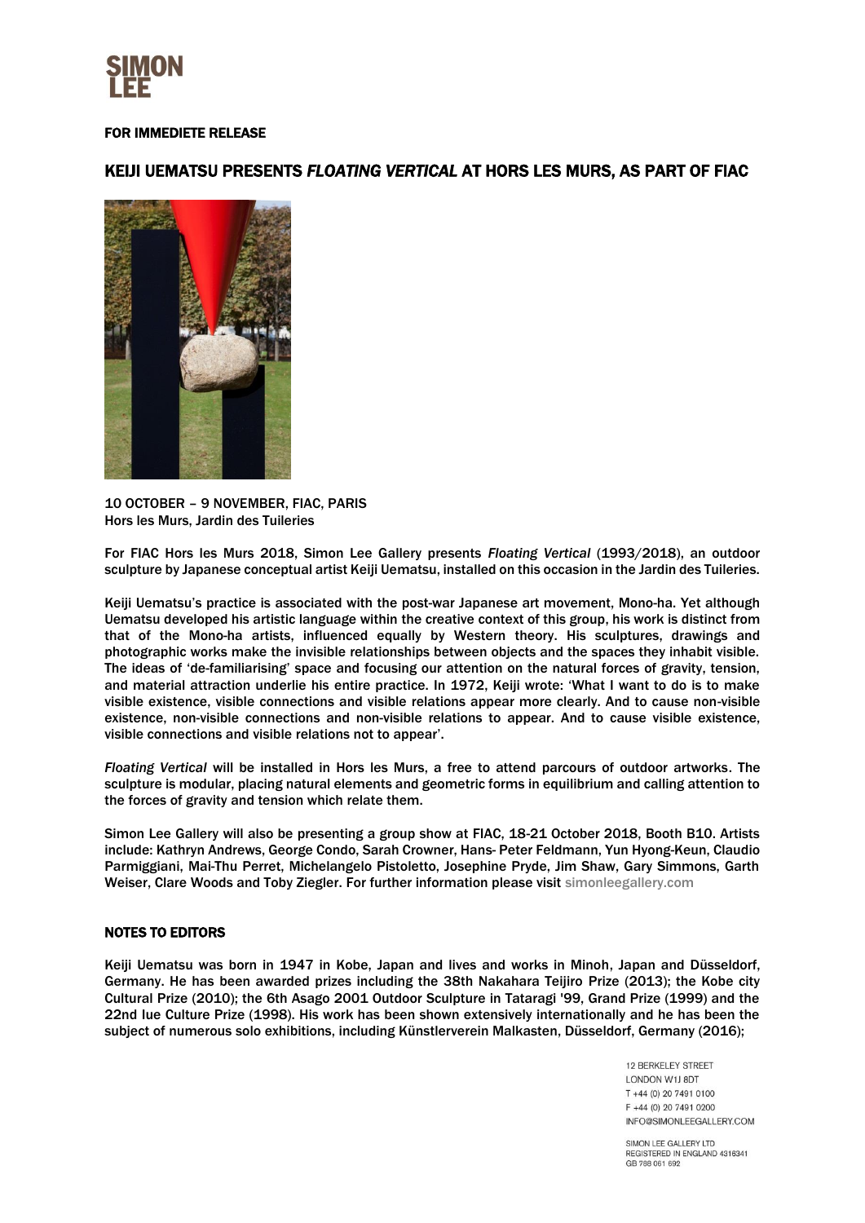

## FOR IMMEDIETE RELEASE

## KEIJI UEMATSU PRESENTS *FLOATING VERTICAL* AT HORS LES MURS, AS PART OF FIAC



10 OCTOBER – 9 NOVEMBER, FIAC, PARIS Hors les Murs, Jardin des Tuileries

For FIAC Hors les Murs 2018, Simon Lee Gallery presents *Floating Vertical* (1993/2018), an outdoor sculpture by Japanese conceptual artist Keiji Uematsu, installed on this occasion in the Jardin des Tuileries.

Keiji Uematsu's practice is associated with the post-war Japanese art movement, Mono-ha. Yet although Uematsu developed his artistic language within the creative context of this group, his work is distinct from that of the Mono-ha artists, influenced equally by Western theory. His sculptures, drawings and photographic works make the invisible relationships between objects and the spaces they inhabit visible. The ideas of 'de-familiarising' space and focusing our attention on the natural forces of gravity, tension, and material attraction underlie his entire practice. In 1972, Keiji wrote: 'What I want to do is to make visible existence, visible connections and visible relations appear more clearly. And to cause non-visible existence, non-visible connections and non-visible relations to appear. And to cause visible existence, visible connections and visible relations not to appear'.

*Floating Vertical* will be installed in Hors les Murs, a free to attend parcours of outdoor artworks. The sculpture is modular, placing natural elements and geometric forms in equilibrium and calling attention to the forces of gravity and tension which relate them.

Simon Lee Gallery will also be presenting a group show at FIAC, 18-21 October 2018, Booth B10. Artists include: Kathryn Andrews, George Condo, Sarah Crowner, Hans- Peter Feldmann, Yun Hyong-Keun, Claudio Parmiggiani, Mai-Thu Perret, Michelangelo Pistoletto, Josephine Pryde, Jim Shaw, Gary Simmons, Garth Weiser, Clare Woods and Toby Ziegler. For further information please visit [simonleegallery.com](https://www.simonleegallery.com/art-fairs/)

## NOTES TO EDITORS

Keiji Uematsu was born in 1947 in Kobe, Japan and lives and works in Minoh, Japan and Düsseldorf, Germany. He has been awarded prizes including the 38th Nakahara Teijiro Prize (2013); the Kobe city Cultural Prize (2010); the 6th Asago 2001 Outdoor Sculpture in Tataragi '99, Grand Prize (1999) and the 22nd Iue Culture Prize (1998). His work has been shown extensively internationally and he has been the subject of numerous solo exhibitions, including Künstlerverein Malkasten, Düsseldorf, Germany (2016);

> **12 BERKELEY STREET LONDON W1LBDT** T +44 (0) 20 7491 0100  $F + 44(0)$  20 7491 0200 INFO@SIMONLEEGALLERY.COM

SIMON LEE GALLERY LTD REGISTERED IN ENGLAND 4316341 GB 788 061 692